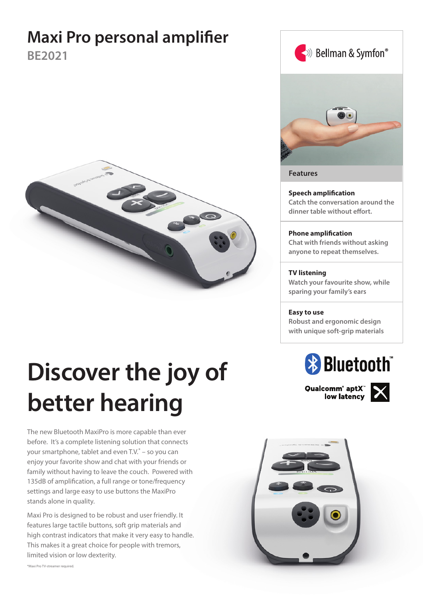## **Maxi Pro personal amplifier**

**BE2021**



# **Discover the joy of better hearing**

The new Bluetooth MaxiPro is more capable than ever before. It's a complete listening solution that connects your smartphone, tablet and even T.V.\* – so you can enjoy your favorite show and chat with your friends or family without having to leave the couch. Powered with 135dB of amplification, a full range or tone/frequency settings and large easy to use buttons the MaxiPro stands alone in quality.

Maxi Pro is designed to be robust and user friendly. It features large tactile buttons, soft grip materials and high contrast indicators that make it very easy to handle. This makes it a great choice for people with tremors, limited vision or low dexterity.



**Features**

**Speech amplification Catch the conversation around the dinner table without effort.**

**Phone amplification Chat with friends without asking anyone to repeat themselves.**

#### **TV listening**

**Watch your favourite show, while sparing your family's ears**

#### **Easy to use**

**Robust and ergonomic design with unique soft-grip materials**



Qualcomm<sup>®</sup> aptX<sup>®</sup><br>low latency